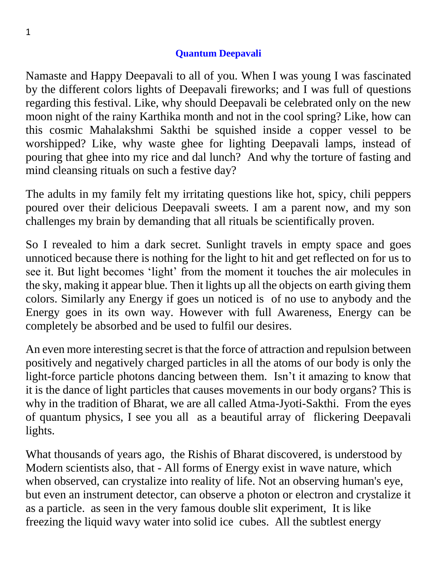## **Quantum Deepavali**

Namaste and Happy Deepavali to all of you. When I was young I was fascinated by the different colors lights of Deepavali fireworks; and I was full of questions regarding this festival. Like, why should Deepavali be celebrated only on the new moon night of the rainy Karthika month and not in the cool spring? Like, how can this cosmic Mahalakshmi Sakthi be squished inside a copper vessel to be worshipped? Like, why waste ghee for lighting Deepavali lamps, instead of pouring that ghee into my rice and dal lunch? And why the torture of fasting and mind cleansing rituals on such a festive day?

The adults in my family felt my irritating questions like hot, spicy, chili peppers poured over their delicious Deepavali sweets. I am a parent now, and my son challenges my brain by demanding that all rituals be scientifically proven.

So I revealed to him a dark secret. Sunlight travels in empty space and goes unnoticed because there is nothing for the light to hit and get reflected on for us to see it. But light becomes 'light' from the moment it touches the air molecules in the sky, making it appear blue. Then it lights up all the objects on earth giving them colors. Similarly any Energy if goes un noticed is of no use to anybody and the Energy goes in its own way. However with full Awareness, Energy can be completely be absorbed and be used to fulfil our desires.

An even more interesting secret is that the force of attraction and repulsion between positively and negatively charged particles in all the atoms of our body is only the light-force particle photons dancing between them. Isn't it amazing to know that it is the dance of light particles that causes movements in our body organs? This is why in the tradition of Bharat, we are all called Atma-Jyoti-Sakthi. From the eyes of quantum physics, I see you all as a beautiful array of flickering Deepavali lights.

What thousands of years ago, the Rishis of Bharat discovered, is understood by Modern scientists also, that - All forms of Energy exist in wave nature, which when observed, can crystalize into reality of life. Not an observing human's eye, but even an instrument detector, can observe a photon or electron and crystalize it as a particle. as seen in the very famous double slit experiment, It is like freezing the liquid wavy water into solid ice cubes. All the subtlest energy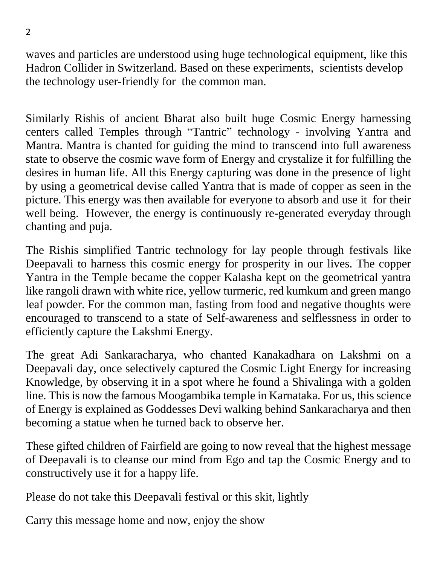waves and particles are understood using huge technological equipment, like this Hadron Collider in Switzerland. Based on these experiments, scientists develop the technology user-friendly for the common man.

Similarly Rishis of ancient Bharat also built huge Cosmic Energy harnessing centers called Temples through "Tantric" technology - involving Yantra and Mantra. Mantra is chanted for guiding the mind to transcend into full awareness state to observe the cosmic wave form of Energy and crystalize it for fulfilling the desires in human life. All this Energy capturing was done in the presence of light by using a geometrical devise called Yantra that is made of copper as seen in the picture. This energy was then available for everyone to absorb and use it for their well being. However, the energy is continuously re-generated everyday through chanting and puja.

The Rishis simplified Tantric technology for lay people through festivals like Deepavali to harness this cosmic energy for prosperity in our lives. The copper Yantra in the Temple became the copper Kalasha kept on the geometrical yantra like rangoli drawn with white rice, yellow turmeric, red kumkum and green mango leaf powder. For the common man, fasting from food and negative thoughts were encouraged to transcend to a state of Self-awareness and selflessness in order to efficiently capture the Lakshmi Energy.

The great Adi Sankaracharya, who chanted Kanakadhara on Lakshmi on a Deepavali day, once selectively captured the Cosmic Light Energy for increasing Knowledge, by observing it in a spot where he found a Shivalinga with a golden line. This is now the famous Moogambika temple in Karnataka. For us, this science of Energy is explained as Goddesses Devi walking behind Sankaracharya and then becoming a statue when he turned back to observe her.

These gifted children of Fairfield are going to now reveal that the highest message of Deepavali is to cleanse our mind from Ego and tap the Cosmic Energy and to constructively use it for a happy life.

Please do not take this Deepavali festival or this skit, lightly

Carry this message home and now, enjoy the show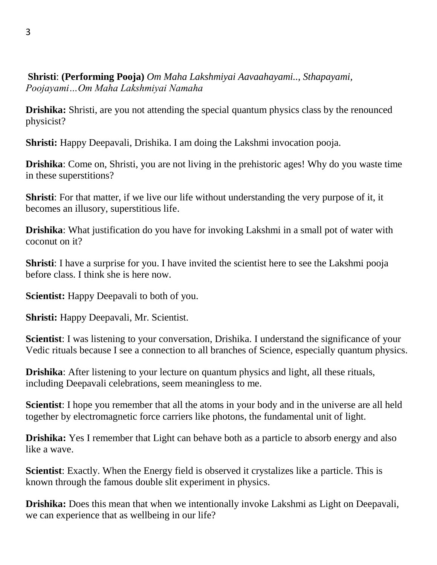**Shristi**: **(Performing Pooja)** *Om Maha Lakshmiyai Aavaahayami.., Sthapayami, Poojayami…Om Maha Lakshmiyai Namaha*

**Drishika:** Shristi, are you not attending the special quantum physics class by the renounced physicist?

**Shristi:** Happy Deepavali, Drishika. I am doing the Lakshmi invocation pooja.

**Drishika**: Come on, Shristi, you are not living in the prehistoric ages! Why do you waste time in these superstitions?

**Shristi**: For that matter, if we live our life without understanding the very purpose of it, it becomes an illusory, superstitious life.

**Drishika**: What justification do you have for invoking Lakshmi in a small pot of water with coconut on it?

**Shristi**: I have a surprise for you. I have invited the scientist here to see the Lakshmi pooja before class. I think she is here now.

**Scientist:** Happy Deepavali to both of you.

**Shristi:** Happy Deepavali, Mr. Scientist.

**Scientist**: I was listening to your conversation, Drishika. I understand the significance of your Vedic rituals because I see a connection to all branches of Science, especially quantum physics.

**Drishika**: After listening to your lecture on quantum physics and light, all these rituals, including Deepavali celebrations, seem meaningless to me.

**Scientist**: I hope you remember that all the atoms in your body and in the universe are all held together by electromagnetic force carriers like photons, the fundamental unit of light.

**Drishika:** Yes I remember that Light can behave both as a particle to absorb energy and also like a wave.

**Scientist**: Exactly. When the Energy field is observed it crystalizes like a particle. This is known through the famous double slit experiment in physics.

**Drishika:** Does this mean that when we intentionally invoke Lakshmi as Light on Deepavali, we can experience that as wellbeing in our life?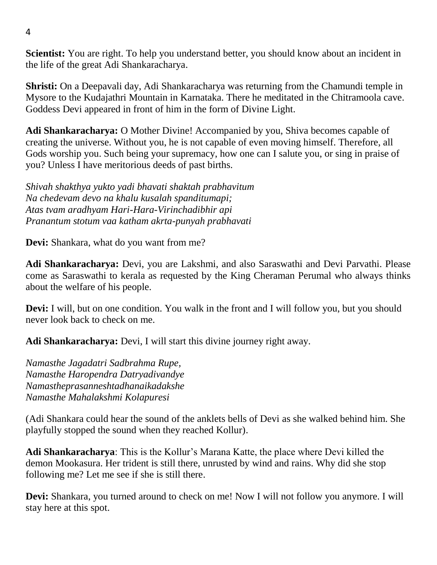**Scientist:** You are right. To help you understand better, you should know about an incident in the life of the great Adi Shankaracharya.

**Shristi:** On a Deepavali day, Adi Shankaracharya was returning from the Chamundi temple in Mysore to the Kudajathri Mountain in Karnataka. There he meditated in the Chitramoola cave. Goddess Devi appeared in front of him in the form of Divine Light.

**Adi Shankaracharya:** O Mother Divine! Accompanied by you, Shiva becomes capable of creating the universe. Without you, he is not capable of even moving himself. Therefore, all Gods worship you. Such being your supremacy, how one can I salute you, or sing in praise of you? Unless I have meritorious deeds of past births.

*Shivah shakthya yukto yadi bhavati shaktah prabhavitum Na chedevam devo na khalu kusalah spanditumapi; Atas tvam aradhyam Hari-Hara-Virinchadibhir api Pranantum stotum vaa katham akrta-punyah prabhavati*

**Devi:** Shankara, what do you want from me?

**Adi Shankaracharya:** Devi, you are Lakshmi, and also Saraswathi and Devi Parvathi. Please come as Saraswathi to kerala as requested by the King Cheraman Perumal who always thinks about the welfare of his people.

**Devi:** I will, but on one condition. You walk in the front and I will follow you, but you should never look back to check on me.

**Adi Shankaracharya:** Devi, I will start this divine journey right away.

*Namasthe Jagadatri Sadbrahma Rupe, Namasthe Haropendra Datryadivandye Namastheprasanneshtadhanaikadakshe Namasthe Mahalakshmi Kolapuresi*

(Adi Shankara could hear the sound of the anklets bells of Devi as she walked behind him. She playfully stopped the sound when they reached Kollur).

**Adi Shankaracharya**: This is the Kollur's Marana Katte, the place where Devi killed the demon Mookasura. Her trident is still there, unrusted by wind and rains. Why did she stop following me? Let me see if she is still there.

**Devi:** Shankara, you turned around to check on me! Now I will not follow you anymore. I will stay here at this spot.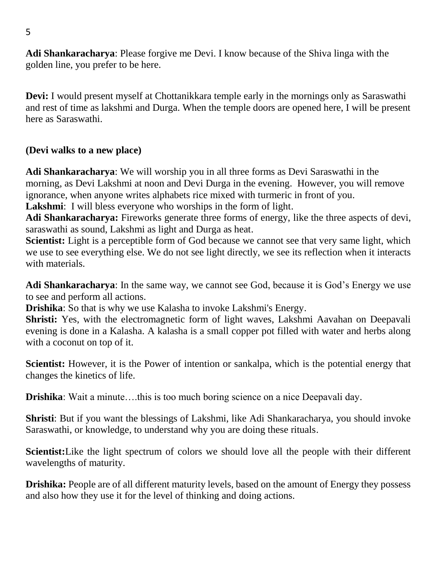**Adi Shankaracharya**: Please forgive me Devi. I know because of the Shiva linga with the golden line, you prefer to be here.

**Devi:** I would present myself at Chottanikkara temple early in the mornings only as Saraswathi and rest of time as lakshmi and Durga. When the temple doors are opened here, I will be present here as Saraswathi.

## **(Devi walks to a new place)**

**Adi Shankaracharya**: We will worship you in all three forms as Devi Saraswathi in the morning, as Devi Lakshmi at noon and Devi Durga in the evening. However, you will remove ignorance, when anyone writes alphabets rice mixed with turmeric in front of you.

**Lakshmi**: I will bless everyone who worships in the form of light.

**Adi Shankaracharya:** Fireworks generate three forms of energy, like the three aspects of devi, saraswathi as sound, Lakshmi as light and Durga as heat.

**Scientist:** Light is a perceptible form of God because we cannot see that very same light, which we use to see everything else. We do not see light directly, we see its reflection when it interacts with materials.

**Adi Shankaracharya**: In the same way, we cannot see God, because it is God's Energy we use to see and perform all actions.

**Drishika**: So that is why we use Kalasha to invoke Lakshmi's Energy.

**Shristi:** Yes, with the electromagnetic form of light waves, Lakshmi Aavahan on Deepavali evening is done in a Kalasha. A kalasha is a small copper pot filled with water and herbs along with a coconut on top of it.

**Scientist:** However, it is the Power of intention or sankalpa, which is the potential energy that changes the kinetics of life.

**Drishika**: Wait a minute….this is too much boring science on a nice Deepavali day.

**Shristi**: But if you want the blessings of Lakshmi, like Adi Shankaracharya, you should invoke Saraswathi, or knowledge, to understand why you are doing these rituals.

**Scientist:**Like the light spectrum of colors we should love all the people with their different wavelengths of maturity.

**Drishika:** People are of all different maturity levels, based on the amount of Energy they possess and also how they use it for the level of thinking and doing actions.